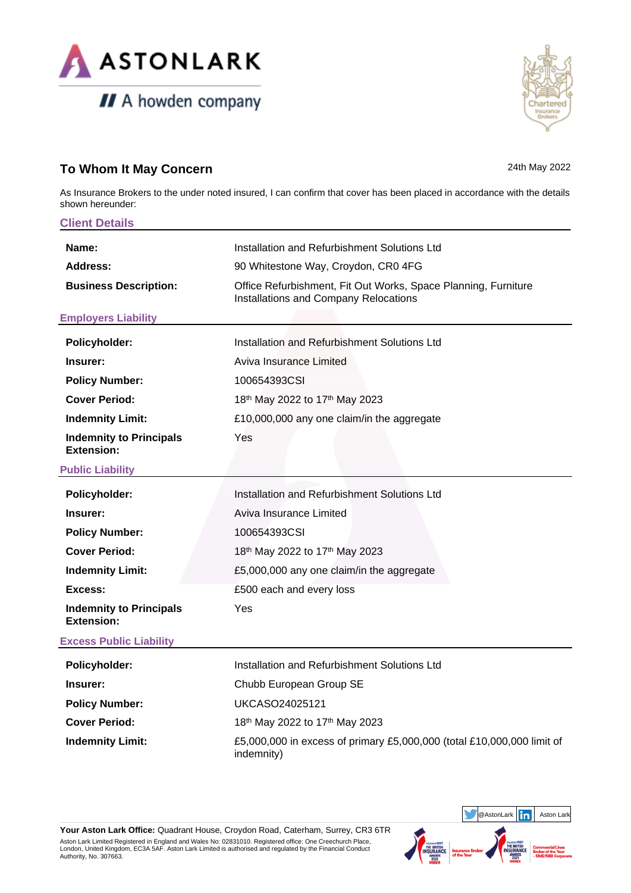

## **To Whom It May Concern** <br>24th May 2022

As Insurance Brokers to the under noted insured, I can confirm that cover has been placed in accordance with the details shown hereunder:

| <b>Client Details</b>                               |                                                                                                         |
|-----------------------------------------------------|---------------------------------------------------------------------------------------------------------|
| Name:                                               | Installation and Refurbishment Solutions Ltd                                                            |
| Address:                                            | 90 Whitestone Way, Croydon, CR0 4FG                                                                     |
| <b>Business Description:</b>                        | Office Refurbishment, Fit Out Works, Space Planning, Furniture<br>Installations and Company Relocations |
| <b>Employers Liability</b>                          |                                                                                                         |
| Policyholder:                                       | Installation and Refurbishment Solutions Ltd                                                            |
| Insurer:                                            | Aviva Insurance Limited                                                                                 |
| <b>Policy Number:</b>                               | 100654393CSI                                                                                            |
| <b>Cover Period:</b>                                | 18th May 2022 to 17th May 2023                                                                          |
| <b>Indemnity Limit:</b>                             | £10,000,000 any one claim/in the aggregate                                                              |
| <b>Indemnity to Principals</b><br><b>Extension:</b> | Yes                                                                                                     |
| <b>Public Liability</b>                             |                                                                                                         |
| Policyholder:                                       | Installation and Refurbishment Solutions Ltd                                                            |
| Insurer:                                            | Aviva Insurance Limited                                                                                 |
| <b>Policy Number:</b>                               | 100654393CSI                                                                                            |
| <b>Cover Period:</b>                                | 18th May 2022 to 17th May 2023                                                                          |
| <b>Indemnity Limit:</b>                             | £5,000,000 any one claim/in the aggregate                                                               |
| Excess:                                             | £500 each and every loss                                                                                |
| <b>Indemnity to Principals</b><br><b>Extension:</b> | Yes                                                                                                     |
| <b>Excess Public Liability</b>                      |                                                                                                         |
| Policyholder:                                       | Installation and Refurbishment Solutions Ltd                                                            |
| Insurer:                                            | Chubb European Group SE                                                                                 |
| <b>Policy Number:</b>                               | UKCASO24025121                                                                                          |
| <b>Cover Period:</b>                                | 18th May 2022 to 17th May 2023                                                                          |
| <b>Indemnity Limit:</b>                             | £5,000,000 in excess of primary £5,000,000 (total £10,000,000 limit of<br>indemnity)                    |